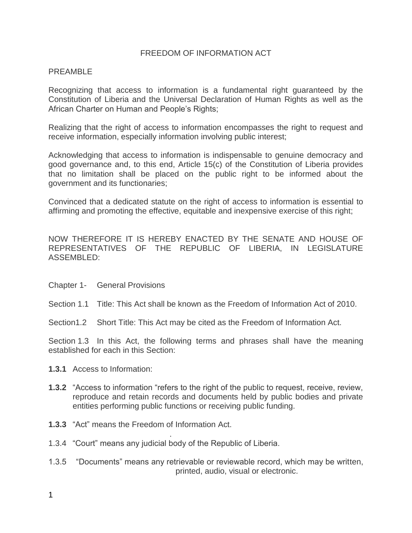## FREEDOM OF INFORMATION ACT

## PREAMBLE

Recognizing that access to information is a fundamental right guaranteed by the Constitution of Liberia and the Universal Declaration of Human Rights as well as the African Charter on Human and People's Rights;

Realizing that the right of access to information encompasses the right to request and receive information, especially information involving public interest;

Acknowledging that access to information is indispensable to genuine democracy and good governance and, to this end, Article 15(c) of the Constitution of Liberia provides that no limitation shall be placed on the public right to be informed about the government and its functionaries;

Convinced that a dedicated statute on the right of access to information is essential to affirming and promoting the effective, equitable and inexpensive exercise of this right;

NOW THEREFORE IT IS HEREBY ENACTED BY THE SENATE AND HOUSE OF REPRESENTATIVES OF THE REPUBLIC OF LIBERIA, IN LEGISLATURE ASSEMBLED:

- Chapter 1- General Provisions
- Section 1.1 Title: This Act shall be known as the Freedom of Information Act of 2010.
- Section1.2 Short Title: This Act may be cited as the Freedom of Information Act.

Section 1.3 In this Act, the following terms and phrases shall have the meaning established for each in this Section:

- **1.3.1** Access to Information:
- **1.3.2** "Access to information "refers to the right of the public to request, receive, review, reproduce and retain records and documents held by public bodies and private entities performing public functions or receiving public funding.
- **1.3.3** "Act" means the Freedom of Information Act.
- 1.3.4 "Court" means any judicial body of the Republic of Liberia.

.

1.3.5 "Documents" means any retrievable or reviewable record, which may be written, printed, audio, visual or electronic.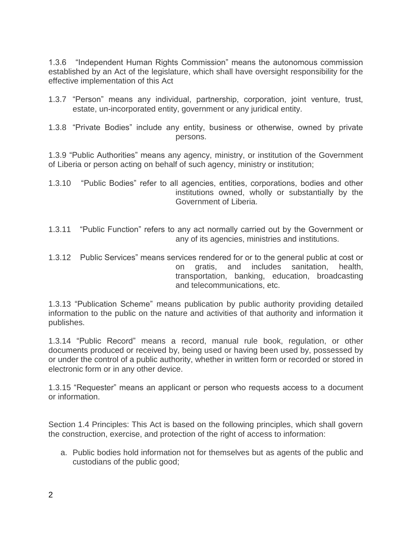1.3.6 "Independent Human Rights Commission" means the autonomous commission established by an Act of the legislature, which shall have oversight responsibility for the effective implementation of this Act

- 1.3.7 "Person" means any individual, partnership, corporation, joint venture, trust, estate, un-incorporated entity, government or any juridical entity.
- 1.3.8 "Private Bodies" include any entity, business or otherwise, owned by private persons.

1.3.9 "Public Authorities" means any agency, ministry, or institution of the Government of Liberia or person acting on behalf of such agency, ministry or institution;

- 1.3.10 "Public Bodies" refer to all agencies, entities, corporations, bodies and other institutions owned, wholly or substantially by the Government of Liberia.
- 1.3.11 "Public Function" refers to any act normally carried out by the Government or any of its agencies, ministries and institutions.
- 1.3.12 Public Services" means services rendered for or to the general public at cost or on gratis, and includes sanitation, health, transportation, banking, education, broadcasting and telecommunications, etc.

1.3.13 "Publication Scheme" means publication by public authority providing detailed information to the public on the nature and activities of that authority and information it publishes.

1.3.14 "Public Record" means a record, manual rule book, regulation, or other documents produced or received by, being used or having been used by, possessed by or under the control of a public authority, whether in written form or recorded or stored in electronic form or in any other device.

1.3.15 "Requester" means an applicant or person who requests access to a document or information.

Section 1.4 Principles: This Act is based on the following principles, which shall govern the construction, exercise, and protection of the right of access to information:

a. Public bodies hold information not for themselves but as agents of the public and custodians of the public good;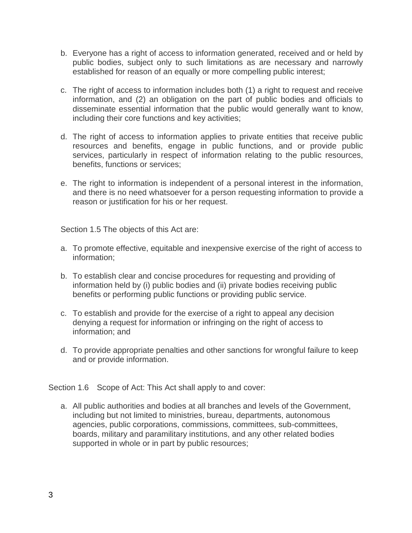- b. Everyone has a right of access to information generated, received and or held by public bodies, subject only to such limitations as are necessary and narrowly established for reason of an equally or more compelling public interest;
- c. The right of access to information includes both (1) a right to request and receive information, and (2) an obligation on the part of public bodies and officials to disseminate essential information that the public would generally want to know, including their core functions and key activities;
- d. The right of access to information applies to private entities that receive public resources and benefits, engage in public functions, and or provide public services, particularly in respect of information relating to the public resources, benefits, functions or services;
- e. The right to information is independent of a personal interest in the information, and there is no need whatsoever for a person requesting information to provide a reason or justification for his or her request.

Section 1.5 The objects of this Act are:

- a. To promote effective, equitable and inexpensive exercise of the right of access to information;
- b. To establish clear and concise procedures for requesting and providing of information held by (i) public bodies and (ii) private bodies receiving public benefits or performing public functions or providing public service.
- c. To establish and provide for the exercise of a right to appeal any decision denying a request for information or infringing on the right of access to information; and
- d. To provide appropriate penalties and other sanctions for wrongful failure to keep and or provide information.

Section 1.6 Scope of Act: This Act shall apply to and cover:

a. All public authorities and bodies at all branches and levels of the Government, including but not limited to ministries, bureau, departments, autonomous agencies, public corporations, commissions, committees, sub-committees, boards, military and paramilitary institutions, and any other related bodies supported in whole or in part by public resources;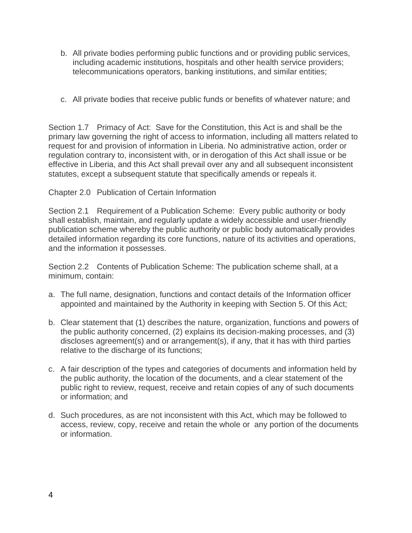- b. All private bodies performing public functions and or providing public services, including academic institutions, hospitals and other health service providers; telecommunications operators, banking institutions, and similar entities;
- c. All private bodies that receive public funds or benefits of whatever nature; and

Section 1.7 Primacy of Act: Save for the Constitution, this Act is and shall be the primary law governing the right of access to information, including all matters related to request for and provision of information in Liberia. No administrative action, order or regulation contrary to, inconsistent with, or in derogation of this Act shall issue or be effective in Liberia, and this Act shall prevail over any and all subsequent inconsistent statutes, except a subsequent statute that specifically amends or repeals it.

## Chapter 2.0 Publication of Certain Information

Section 2.1 Requirement of a Publication Scheme: Every public authority or body shall establish, maintain, and regularly update a widely accessible and user-friendly publication scheme whereby the public authority or public body automatically provides detailed information regarding its core functions, nature of its activities and operations, and the information it possesses.

Section 2.2 Contents of Publication Scheme: The publication scheme shall, at a minimum, contain:

- a. The full name, designation, functions and contact details of the Information officer appointed and maintained by the Authority in keeping with Section 5. Of this Act;
- b. Clear statement that (1) describes the nature, organization, functions and powers of the public authority concerned, (2) explains its decision-making processes, and (3) discloses agreement(s) and or arrangement(s), if any, that it has with third parties relative to the discharge of its functions;
- c. A fair description of the types and categories of documents and information held by the public authority, the location of the documents, and a clear statement of the public right to review, request, receive and retain copies of any of such documents or information; and
- d. Such procedures, as are not inconsistent with this Act, which may be followed to access, review, copy, receive and retain the whole or any portion of the documents or information.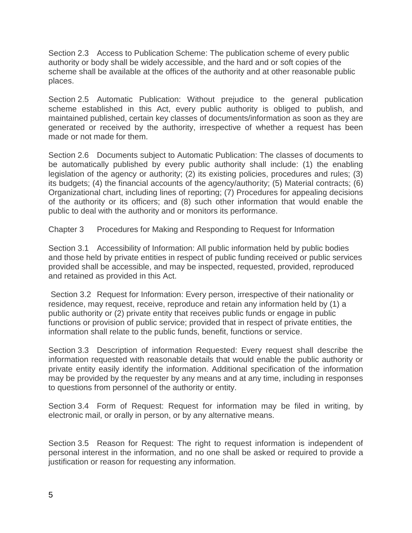Section 2.3 Access to Publication Scheme: The publication scheme of every public authority or body shall be widely accessible, and the hard and or soft copies of the scheme shall be available at the offices of the authority and at other reasonable public places.

Section 2.5 Automatic Publication: Without prejudice to the general publication scheme established in this Act, every public authority is obliged to publish, and maintained published, certain key classes of documents/information as soon as they are generated or received by the authority, irrespective of whether a request has been made or not made for them.

Section 2.6 Documents subject to Automatic Publication: The classes of documents to be automatically published by every public authority shall include: (1) the enabling legislation of the agency or authority; (2) its existing policies, procedures and rules; (3) its budgets; (4) the financial accounts of the agency/authority; (5) Material contracts; (6) Organizational chart, including lines of reporting; (7) Procedures for appealing decisions of the authority or its officers; and (8) such other information that would enable the public to deal with the authority and or monitors its performance.

Chapter 3 Procedures for Making and Responding to Request for Information

Section 3.1 Accessibility of Information: All public information held by public bodies and those held by private entities in respect of public funding received or public services provided shall be accessible, and may be inspected, requested, provided, reproduced and retained as provided in this Act.

Section 3.2 Request for Information: Every person, irrespective of their nationality or residence, may request, receive, reproduce and retain any information held by (1) a public authority or (2) private entity that receives public funds or engage in public functions or provision of public service; provided that in respect of private entities, the information shall relate to the public funds, benefit, functions or service.

Section 3.3 Description of information Requested: Every request shall describe the information requested with reasonable details that would enable the public authority or private entity easily identify the information. Additional specification of the information may be provided by the requester by any means and at any time, including in responses to questions from personnel of the authority or entity.

Section 3.4 Form of Request: Request for information may be filed in writing, by electronic mail, or orally in person, or by any alternative means.

Section 3.5 Reason for Request: The right to request information is independent of personal interest in the information, and no one shall be asked or required to provide a justification or reason for requesting any information.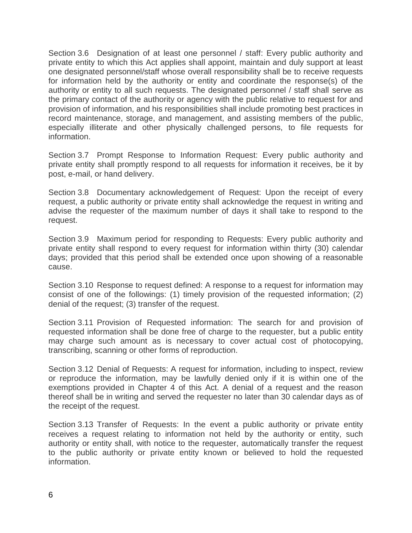Section 3.6 Designation of at least one personnel / staff: Every public authority and private entity to which this Act applies shall appoint, maintain and duly support at least one designated personnel/staff whose overall responsibility shall be to receive requests for information held by the authority or entity and coordinate the response(s) of the authority or entity to all such requests. The designated personnel / staff shall serve as the primary contact of the authority or agency with the public relative to request for and provision of information, and his responsibilities shall include promoting best practices in record maintenance, storage, and management, and assisting members of the public, especially illiterate and other physically challenged persons, to file requests for information.

Section 3.7 Prompt Response to Information Request: Every public authority and private entity shall promptly respond to all requests for information it receives, be it by post, e-mail, or hand delivery.

Section 3.8 Documentary acknowledgement of Request: Upon the receipt of every request, a public authority or private entity shall acknowledge the request in writing and advise the requester of the maximum number of days it shall take to respond to the request.

Section 3.9 Maximum period for responding to Requests: Every public authority and private entity shall respond to every request for information within thirty (30) calendar days; provided that this period shall be extended once upon showing of a reasonable cause.

Section 3.10 Response to request defined: A response to a request for information may consist of one of the followings: (1) timely provision of the requested information; (2) denial of the request; (3) transfer of the request.

Section 3.11 Provision of Requested information: The search for and provision of requested information shall be done free of charge to the requester, but a public entity may charge such amount as is necessary to cover actual cost of photocopying, transcribing, scanning or other forms of reproduction.

Section 3.12 Denial of Requests: A request for information, including to inspect, review or reproduce the information, may be lawfully denied only if it is within one of the exemptions provided in Chapter 4 of this Act. A denial of a request and the reason thereof shall be in writing and served the requester no later than 30 calendar days as of the receipt of the request.

Section 3.13 Transfer of Requests: In the event a public authority or private entity receives a request relating to information not held by the authority or entity, such authority or entity shall, with notice to the requester, automatically transfer the request to the public authority or private entity known or believed to hold the requested information.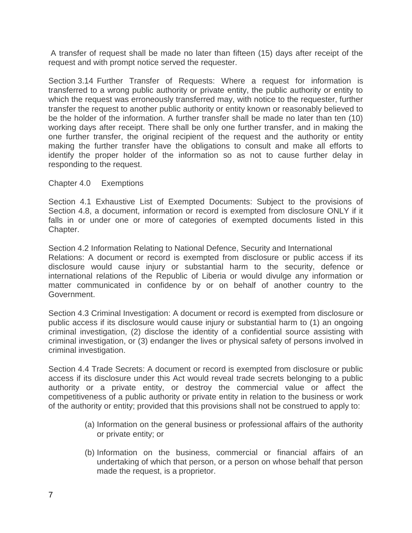A transfer of request shall be made no later than fifteen (15) days after receipt of the request and with prompt notice served the requester.

Section 3.14 Further Transfer of Requests: Where a request for information is transferred to a wrong public authority or private entity, the public authority or entity to which the request was erroneously transferred may, with notice to the requester, further transfer the request to another public authority or entity known or reasonably believed to be the holder of the information. A further transfer shall be made no later than ten (10) working days after receipt. There shall be only one further transfer, and in making the one further transfer, the original recipient of the request and the authority or entity making the further transfer have the obligations to consult and make all efforts to identify the proper holder of the information so as not to cause further delay in responding to the request.

Chapter 4.0 Exemptions

Section 4.1 Exhaustive List of Exempted Documents: Subject to the provisions of Section 4.8, a document, information or record is exempted from disclosure ONLY if it falls in or under one or more of categories of exempted documents listed in this Chapter.

Section 4.2 Information Relating to National Defence, Security and International Relations: A document or record is exempted from disclosure or public access if its disclosure would cause injury or substantial harm to the security, defence or international relations of the Republic of Liberia or would divulge any information or matter communicated in confidence by or on behalf of another country to the Government.

Section 4.3 Criminal Investigation: A document or record is exempted from disclosure or public access if its disclosure would cause injury or substantial harm to (1) an ongoing criminal investigation, (2) disclose the identity of a confidential source assisting with criminal investigation, or (3) endanger the lives or physical safety of persons involved in criminal investigation.

Section 4.4 Trade Secrets: A document or record is exempted from disclosure or public access if its disclosure under this Act would reveal trade secrets belonging to a public authority or a private entity, or destroy the commercial value or affect the competitiveness of a public authority or private entity in relation to the business or work of the authority or entity; provided that this provisions shall not be construed to apply to:

- (a) Information on the general business or professional affairs of the authority or private entity; or
- (b) Information on the business, commercial or financial affairs of an undertaking of which that person, or a person on whose behalf that person made the request, is a proprietor.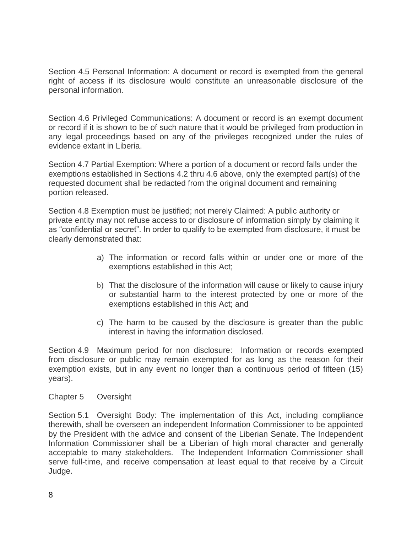Section 4.5 Personal Information: A document or record is exempted from the general right of access if its disclosure would constitute an unreasonable disclosure of the personal information.

Section 4.6 Privileged Communications: A document or record is an exempt document or record if it is shown to be of such nature that it would be privileged from production in any legal proceedings based on any of the privileges recognized under the rules of evidence extant in Liberia.

Section 4.7 Partial Exemption: Where a portion of a document or record falls under the exemptions established in Sections 4.2 thru 4.6 above, only the exempted part(s) of the requested document shall be redacted from the original document and remaining portion released.

Section 4.8 Exemption must be justified; not merely Claimed: A public authority or private entity may not refuse access to or disclosure of information simply by claiming it as "confidential or secret". In order to qualify to be exempted from disclosure, it must be clearly demonstrated that:

- a) The information or record falls within or under one or more of the exemptions established in this Act;
- b) That the disclosure of the information will cause or likely to cause injury or substantial harm to the interest protected by one or more of the exemptions established in this Act; and
- c) The harm to be caused by the disclosure is greater than the public interest in having the information disclosed.

Section 4.9 Maximum period for non disclosure: Information or records exempted from disclosure or public may remain exempted for as long as the reason for their exemption exists, but in any event no longer than a continuous period of fifteen (15) years).

Chapter 5 Oversight

Section 5.1 Oversight Body: The implementation of this Act, including compliance therewith, shall be overseen an independent Information Commissioner to be appointed by the President with the advice and consent of the Liberian Senate. The Independent Information Commissioner shall be a Liberian of high moral character and generally acceptable to many stakeholders. The Independent Information Commissioner shall serve full-time, and receive compensation at least equal to that receive by a Circuit Judge.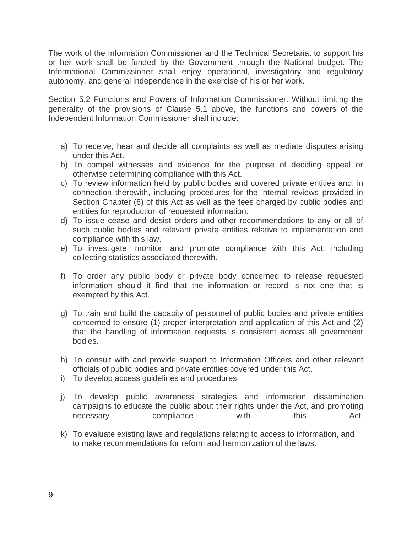The work of the Information Commissioner and the Technical Secretariat to support his or her work shall be funded by the Government through the National budget. The Informational Commissioner shall enjoy operational, investigatory and regulatory autonomy, and general independence in the exercise of his or her work.

Section 5.2 Functions and Powers of Information Commissioner: Without limiting the generality of the provisions of Clause 5.1 above, the functions and powers of the Independent Information Commissioner shall include:

- a) To receive, hear and decide all complaints as well as mediate disputes arising under this Act.
- b) To compel witnesses and evidence for the purpose of deciding appeal or otherwise determining compliance with this Act.
- c) To review information held by public bodies and covered private entities and, in connection therewith, including procedures for the internal reviews provided in Section Chapter (6) of this Act as well as the fees charged by public bodies and entities for reproduction of requested information.
- d) To issue cease and desist orders and other recommendations to any or all of such public bodies and relevant private entities relative to implementation and compliance with this law.
- e) To investigate, monitor, and promote compliance with this Act, including collecting statistics associated therewith.
- f) To order any public body or private body concerned to release requested information should it find that the information or record is not one that is exempted by this Act.
- g) To train and build the capacity of personnel of public bodies and private entities concerned to ensure (1) proper interpretation and application of this Act and (2) that the handling of information requests is consistent across all government bodies.
- h) To consult with and provide support to Information Officers and other relevant officials of public bodies and private entities covered under this Act.
- i) To develop access guidelines and procedures.
- j) To develop public awareness strategies and information dissemination campaigns to educate the public about their rights under the Act, and promoting necessary compliance with this Act.
- k) To evaluate existing laws and regulations relating to access to information, and to make recommendations for reform and harmonization of the laws.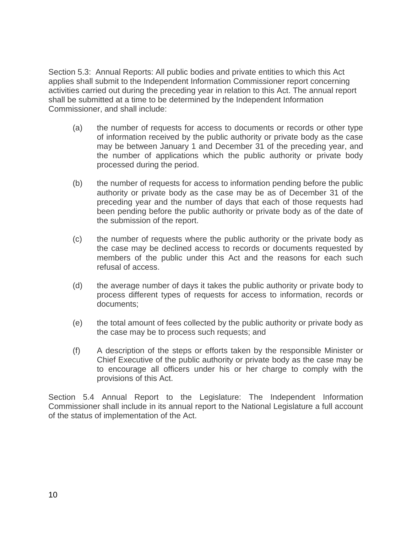Section 5.3: Annual Reports: All public bodies and private entities to which this Act applies shall submit to the Independent Information Commissioner report concerning activities carried out during the preceding year in relation to this Act. The annual report shall be submitted at a time to be determined by the Independent Information Commissioner, and shall include:

- (a) the number of requests for access to documents or records or other type of information received by the public authority or private body as the case may be between January 1 and December 31 of the preceding year, and the number of applications which the public authority or private body processed during the period.
- (b) the number of requests for access to information pending before the public authority or private body as the case may be as of December 31 of the preceding year and the number of days that each of those requests had been pending before the public authority or private body as of the date of the submission of the report.
- (c) the number of requests where the public authority or the private body as the case may be declined access to records or documents requested by members of the public under this Act and the reasons for each such refusal of access.
- (d) the average number of days it takes the public authority or private body to process different types of requests for access to information, records or documents;
- (e) the total amount of fees collected by the public authority or private body as the case may be to process such requests; and
- (f) A description of the steps or efforts taken by the responsible Minister or Chief Executive of the public authority or private body as the case may be to encourage all officers under his or her charge to comply with the provisions of this Act.

Section 5.4 Annual Report to the Legislature: The Independent Information Commissioner shall include in its annual report to the National Legislature a full account of the status of implementation of the Act.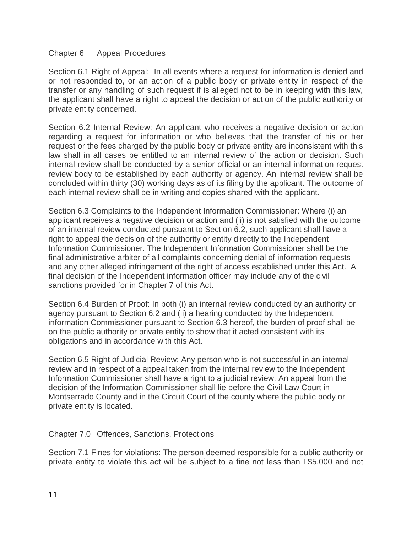## Chapter 6 Appeal Procedures

Section 6.1 Right of Appeal: In all events where a request for information is denied and or not responded to, or an action of a public body or private entity in respect of the transfer or any handling of such request if is alleged not to be in keeping with this law, the applicant shall have a right to appeal the decision or action of the public authority or private entity concerned.

Section 6.2 Internal Review: An applicant who receives a negative decision or action regarding a request for information or who believes that the transfer of his or her request or the fees charged by the public body or private entity are inconsistent with this law shall in all cases be entitled to an internal review of the action or decision. Such internal review shall be conducted by a senior official or an internal information request review body to be established by each authority or agency. An internal review shall be concluded within thirty (30) working days as of its filing by the applicant. The outcome of each internal review shall be in writing and copies shared with the applicant.

Section 6.3 Complaints to the Independent Information Commissioner: Where (i) an applicant receives a negative decision or action and (ii) is not satisfied with the outcome of an internal review conducted pursuant to Section 6.2, such applicant shall have a right to appeal the decision of the authority or entity directly to the Independent Information Commissioner. The Independent Information Commissioner shall be the final administrative arbiter of all complaints concerning denial of information requests and any other alleged infringement of the right of access established under this Act. A final decision of the Independent information officer may include any of the civil sanctions provided for in Chapter 7 of this Act.

Section 6.4 Burden of Proof: In both (i) an internal review conducted by an authority or agency pursuant to Section 6.2 and (ii) a hearing conducted by the Independent information Commissioner pursuant to Section 6.3 hereof, the burden of proof shall be on the public authority or private entity to show that it acted consistent with its obligations and in accordance with this Act.

Section 6.5 Right of Judicial Review: Any person who is not successful in an internal review and in respect of a appeal taken from the internal review to the Independent Information Commissioner shall have a right to a judicial review. An appeal from the decision of the Information Commissioner shall lie before the Civil Law Court in Montserrado County and in the Circuit Court of the county where the public body or private entity is located.

Chapter 7.0 Offences, Sanctions, Protections

Section 7.1 Fines for violations: The person deemed responsible for a public authority or private entity to violate this act will be subject to a fine not less than L\$5,000 and not